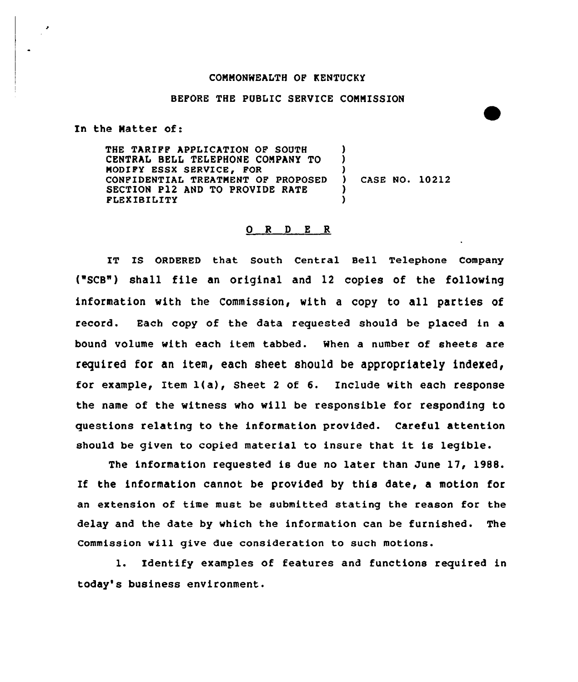## CONNONWEALTH OF KENTUCKY

## BEFORE THE PUBLIC SERVICE CONNISSION

In the Natter of:

THE TARIFF APPLICATION OF SOUTH CENTRAL BELL TELEPHONE COMPANY TO MODIFY ESSX SERVICE, FOR CONFIDENTIAL TREATMENT OF PROPOSED SECTION P12 AND TO PROVIDE RATE FLEXIBILITY ) )  $\lambda$ ) )

) CASE NO. 10212

## 0 <sup>R</sup> <sup>D</sup> E R

IT IS ORDERED that South Central Bell Telephone Company ("SCB") shall file an original and 12 copies of the following information with the Commission, with a copy to all parties of record. Each copy of the data requested should be placed in a bound volume with each item tabbed. When a number of sheets are required for an item, each sheet should be appropriately indexed, for example, Item 1(a), Sheet <sup>2</sup> of 6. Include with each response the name of the witness vho will be responsible for responding to questions relating to the information provided. Careful attention should be given to copied material to insure that it is legible.

The information requested is due no later than June 17, 1988. If the information cannot be provided by this date, a motion for an extension of time must be submitted stating the reason for the delay and the date by which the information can be furnished. The Commission will give due consideration to such motions.

l. Identify examples of features and functions required in today's business environment.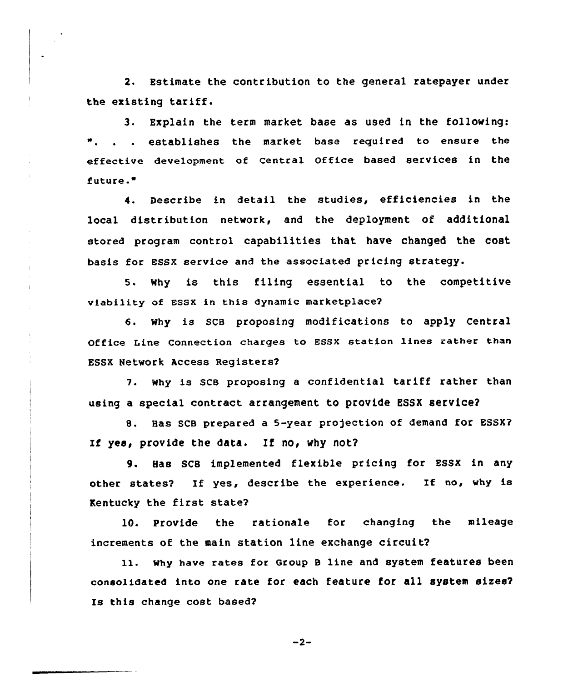2. Estimate the contribution to the general ratepayer under the existing tariff.

3. Explain the term market base as used in the following: ". . . establishes the market base required to ensure the effective development of central Office based services in the future."

4. Describe in detail the studies, efficiencies in the local distribution network, and the deployment of additional stored program control capabilities that have changed the cost basis for Essx service and the associated pricing strategy.

5. why is this filing essential to the competitive viability of Bssx in this dynamic marketplace?

6. why is SCB proposing modifications to apply Central Office Line Connection charges to ESSX station lines rather than ESSX Network Access Registers?

7. why is sce proposing <sup>a</sup> confidential tariff rather than using a special contract arrangement to provide ESSX service?

8. Has SCB prepared a 5-year projection of demand for ESSX? If yes, provide the data. If no, why not?

9. Has SCB implemented flexible pricing for ESSX in any other states? If yes, describe the experience. If no, why is Kentucky the first state?

10. Provide the rationale for changing the mileage increments of the main station line exchange circuit?

ll. why have rates for Group <sup>B</sup> line and system features been consolidated into one rate for each feature for all system sizes? Is this change cost based?

 $-2-$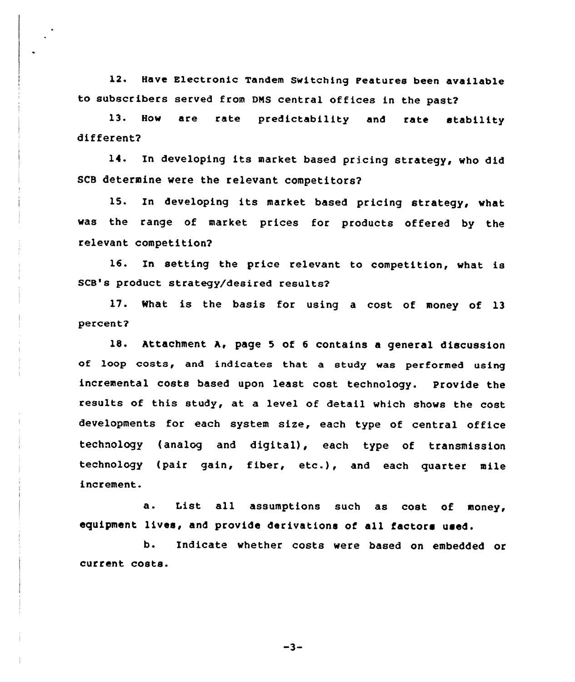12. Have Electronic Tandem Switching Features been available to subscribers served from DNS central offices in the past2

13. How are rate predictability and rate stability different2

14. In developing its market based pricing strategy, who did SCB determine were the relevant competitors2

15. In developing its market based pricing strategy, what was the range of market prices for products offered by the relevant competition2

16. In setting the price relevant to competition, what is SCB's product strategy/desired results2

17. What is the basis for using a cost of money of 13 percent2

18. Attachment A, page <sup>5</sup> of <sup>6</sup> contains a general discussion of loop costs, and indicates that a study was performed using incremental costs based upon least cost technology. Provide the results of this study, at, a level of detail which shows the cost developments for each system size, each type of central office technology {analog and digital), each type of transmission technology (pair gain, fiber, etc.), and each quarter mile increment.

a. List all assumptions such as cost of money, equipment lives, and provide derivations of all factors used.

b. Indicate whether costs were based on embedded or current costs.

 $-3-$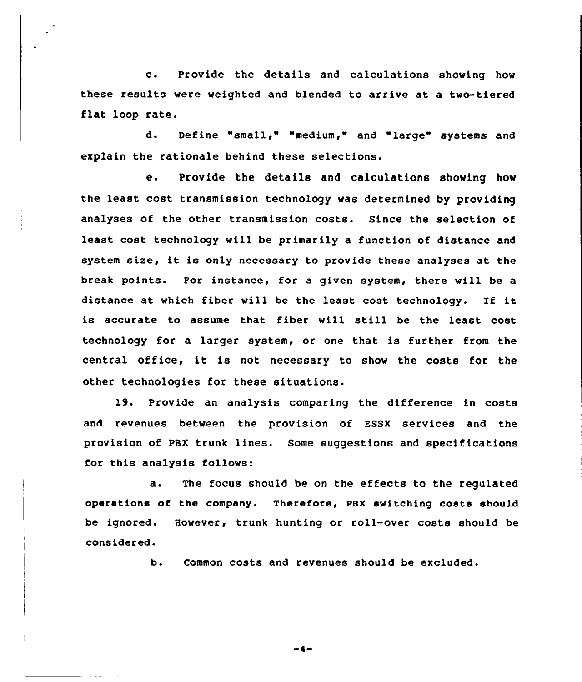c. Provide the details and calculations shoving how these results were weighted and blended to arrive at a tvo-tiered flat loop rate.

d. Define "small," "medium," and "large" systems and explain the rationale behind these selections.

e. Provide the details and calculations shoving how the least cost transmission technology vas determined by providing analyses of the other transmission costs. Since the selection of least cost technology will be primarily a function of distance and system size, it is only necessary to provide these analyses at the break points. For instance, for a given system, there vill be a distance at which fiber will be the least cost technology. If it is accurate to assume that fiber vill still be the least cost technology for a larger system, or one that is further from the central office, it is not necessary to show the costs for the other technologies for these situations.

19. Provide an analysis comparing the difference in costs and revenues between the provision of ESSX services and the provision of PBX trunk lines. Some suggestions and specifications for this analysis follows:

a. The focus should be on the effects to the regulated operations of the company. Therefore, PBX switching costs should be ignored. However, trunk hunting or roll-over costs should be considered.

b. Common costs and revenues should be excluded.

 $-4-$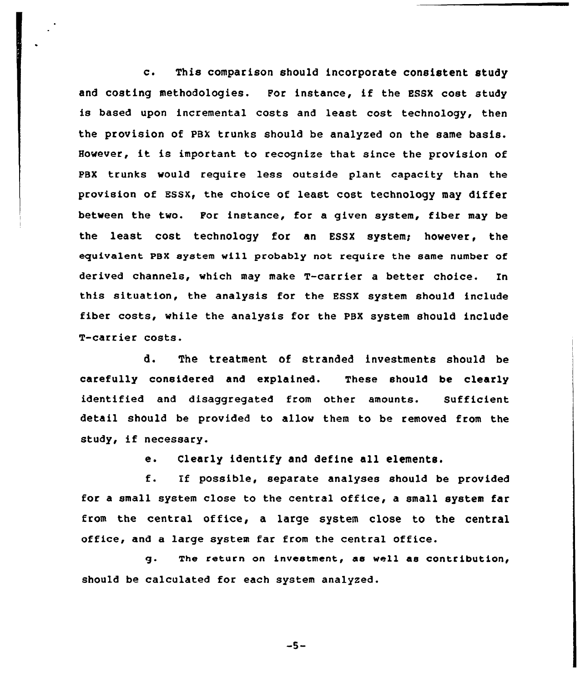c. This comparison should incorporate consistent study and costing methodologies. For instance, if the ESSX cost study is based upon incremental costs and least cost technology, then the provision of PBX trunks should be analyzed on the same basis. However, it is important to recognize that since the provision of PBX trunks would require less outside plant capacity than the provision of ESSX, the choice of least cost technology may differ between the two. Por instance, for a given system, fiber may be the least cost technology for an ESSX system; however, the equivalent PBX system will probably not require the same number of derived channels, which may make T-carrier a better choice. In this situation, the analysis for the ESSX system should include fiber costs, while the analysis for the PBX system should include T-carrier costs.

d. The treatment of stranded investments should be carefully considered and explained. These should be clearly identified and disaggregated from other amounts. Sufficient detail should be provided to allow them to be removed from the study, if necessary.

e. Clearly identify and define all elements.

f. If possible, separate analyses should be provided for <sup>a</sup> small system close to the central office, a small system far from the central office, a large system close to the central office, and a large system far from the central office.

g. The return on investment, ae well as contribution< should be calculated for each system analyzed.

$$
-5-
$$